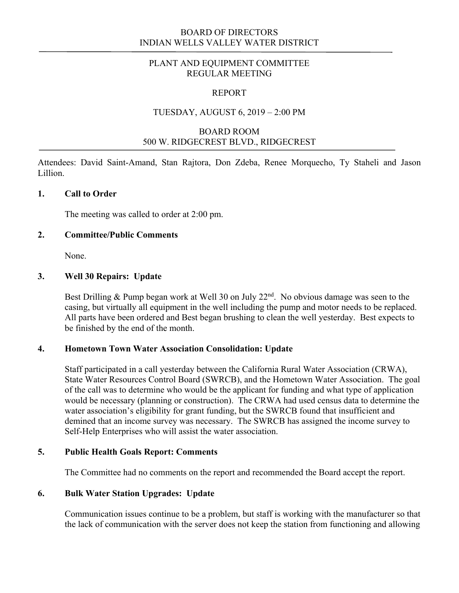## BOARD OF DIRECTORS INDIAN WELLS VALLEY WATER DISTRICT

## PLANT AND EQUIPMENT COMMITTEE REGULAR MEETING

#### REPORT

### TUESDAY, AUGUST 6, 2019 – 2:00 PM

# BOARD ROOM 500 W. RIDGECREST BLVD., RIDGECREST

Attendees: David Saint-Amand, Stan Rajtora, Don Zdeba, Renee Morquecho, Ty Staheli and Jason Lillion.

#### **1. Call to Order**

The meeting was called to order at 2:00 pm.

### **2. Committee/Public Comments**

None.

## **3. Well 30 Repairs: Update**

Best Drilling & Pump began work at Well 30 on July  $22<sup>nd</sup>$ . No obvious damage was seen to the casing, but virtually all equipment in the well including the pump and motor needs to be replaced. All parts have been ordered and Best began brushing to clean the well yesterday. Best expects to be finished by the end of the month.

#### **4. Hometown Town Water Association Consolidation: Update**

Staff participated in a call yesterday between the California Rural Water Association (CRWA), State Water Resources Control Board (SWRCB), and the Hometown Water Association. The goal of the call was to determine who would be the applicant for funding and what type of application would be necessary (planning or construction). The CRWA had used census data to determine the water association's eligibility for grant funding, but the SWRCB found that insufficient and demined that an income survey was necessary. The SWRCB has assigned the income survey to Self-Help Enterprises who will assist the water association.

#### **5. Public Health Goals Report: Comments**

The Committee had no comments on the report and recommended the Board accept the report.

### **6. Bulk Water Station Upgrades: Update**

Communication issues continue to be a problem, but staff is working with the manufacturer so that the lack of communication with the server does not keep the station from functioning and allowing